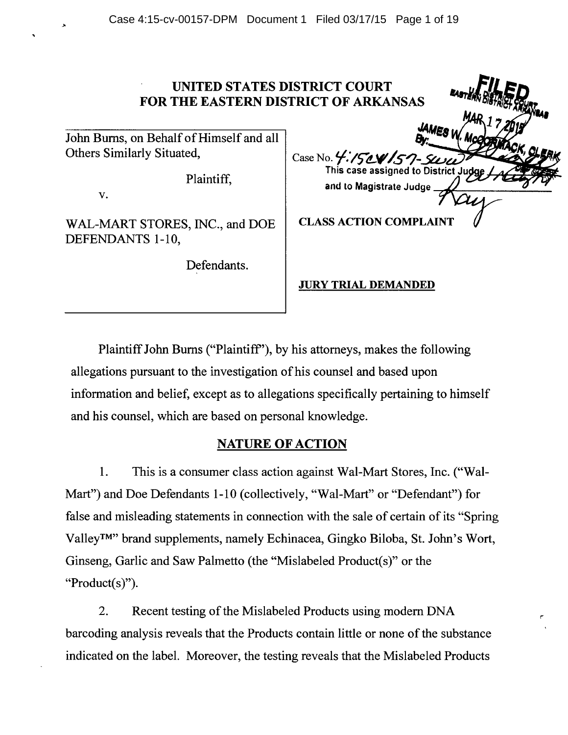### **UNITED STATES DI FOR THE EASTERN DIST**

John Bums, on Behalf of Himself and all Others Similarly Situated,

Plaintiff,

v.

WAL-MART STORES, INC., and DOE DEFENDANTS 1-10,

Defendants.

| <b>ISTRICT COURT</b>     |  |
|--------------------------|--|
| <b>TRICT OF ARKANSAS</b> |  |
| <b>JAMES</b>             |  |
|                          |  |
| Case No. 4. 150 157-5000 |  |
|                          |  |
| and to Magistrate Judge  |  |
|                          |  |
| ACTION COMPLAINT         |  |

#### **JURY TRIAL DEMANDED**

Plaintiff John Bums ("Plaintiff'), by his attorneys, makes the following allegations pursuant to the investigation of his counsel and based upon information and belief, except as to allegations specifically pertaining to himself and his counsel, which are based on personal knowledge.

## **NATURE OF ACTION**

**1.** This is a consumer class action against Wal-Mart Stores, Inc. ("Wal-Mart") and Doe Defendants 1-10 (collectively, "Wal-Mart" or "Defendant") for false and misleading statements in connection with the sale of certain of its "Spring Valley™" brand supplements, namely Echinacea, Gingko Biloba, St. John's Wort, Ginseng, Garlic and Saw Palmetto (the "Mislabeled Product(s)" or the " $Product(s)$ ").

2. Recent testing of the Mislabeled Products using modem DNA barcoding analysis reveals that the Products contain little or none of the substance indicated on the label. Moreover, the testing reveals that the Mislabeled Products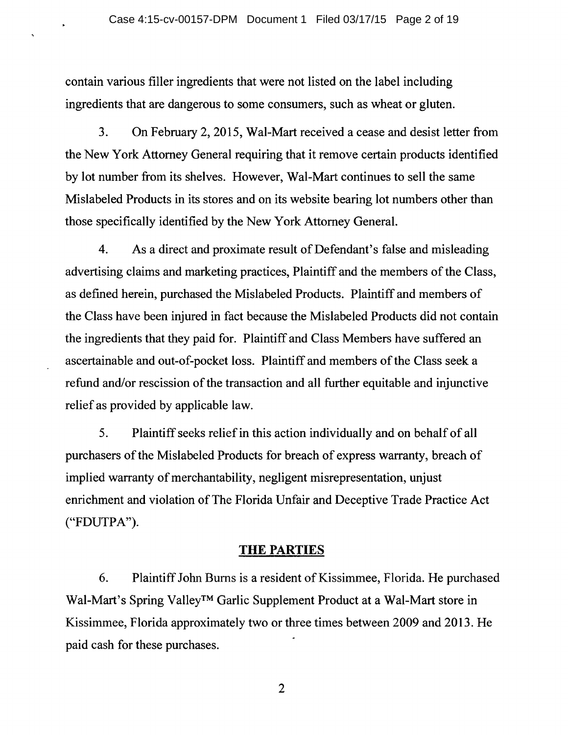contain various filler ingredients that were not listed on the label including ingredients that are dangerous to some consumers, such as wheat or gluten.

 $\ddot{\phantom{1}}$ 

3. On February 2, 2015, Wal-Mart received a cease and desist letter from the New York Attorney General requiring that it remove certain products identified by lot number from its shelves. However, Wal-Mart continues to sell the same Mislabeled Products in its stores and on its website bearing lot numbers other than those specifically identified by the New York Attorney General.

4. As a direct and proximate result of Defendant's false and misleading advertising claims and marketing practices, Plaintiff and the members of the Class, as defined herein, purchased the Mislabeled Products. Plaintiff and members of the Class have been injured in fact because the Mislabeled Products did not contain the ingredients that they paid for. Plaintiff and Class Members have suffered an ascertainable and out-of-pocket loss. Plaintiff and members of the Class seek a refund and/or rescission of the transaction and all further equitable and injunctive relief as provided by applicable law.

5. Plaintiff seeks relief in this action individually and on behalf of all purchasers of the Mislabeled Products for breach of express warranty, breach of implied warranty of merchantability, negligent misrepresentation, unjust enrichment and violation of The Florida Unfair and Deceptive Trade Practice Act ("FDUTPA").

#### **THE PARTIES**

6. Plaintiff John Bums is a resident of Kissimmee, Florida. He purchased Wal-Mart's Spring Valley™ Garlic Supplement Product at a Wal-Mart store in Kissimmee, Florida approximately two or three times between 2009 and 2013. He paid cash for these purchases.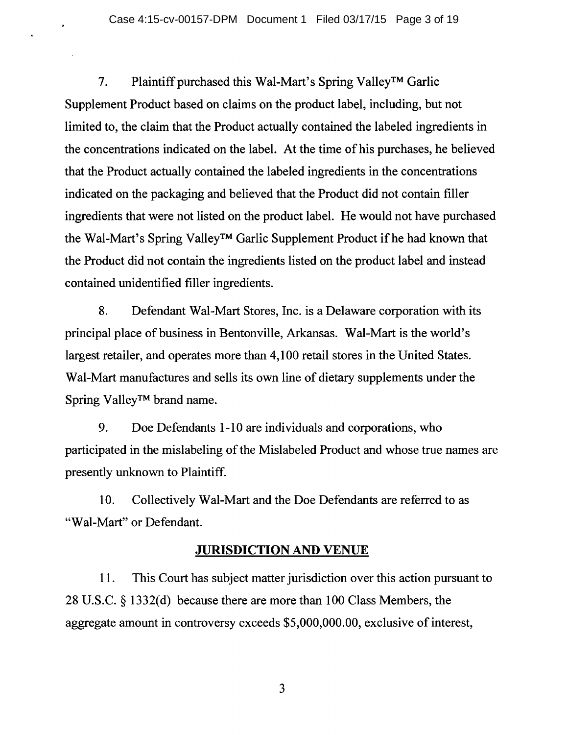7. Plaintiff purchased this Wal-Mart's Spring Valley™ Garlic Supplement Product based on claims on the product label, including, but not limited to, the claim that the Product actually contained the labeled ingredients in the concentrations indicated on the label. At the time of his purchases, he believed that the Product actually contained the labeled ingredients in the concentrations indicated on the packaging and believed that the Product did not contain filler ingredients that were not listed on the product label. He would not have purchased the Wal-Mart's Spring Valley™ Garlic Supplement Product if he had known that the Product did not contain the ingredients listed on the product label and instead contained unidentified filler ingredients.

8. Defendant Wal-Mart Stores, Inc. is a Delaware corporation with its principal place of business in Bentonville, Arkansas. Wal-Mart is the world's largest retailer, and operates more than 4, 100 retail stores in the United States. Wal-Mart manufactures and sells its own line of dietary supplements under the Spring Valley™ brand name.

9. Doe Defendants 1-10 are individuals and corporations, who participated in the mislabeling of the Mislabeled Product and whose true names are presently unknown to Plaintiff.

10. Collectively Wal-Mart and the Doe Defendants are referred to as "Wal-Mart" or Defendant.

## JURISDICTION AND VENUE

11. This Court has subject matter jurisdiction over this action pursuant to 28 U.S.C. § 1332(d) because there are more than 100 Class Members, the aggregate amount in controversy exceeds \$5,000,000.00, exclusive of interest,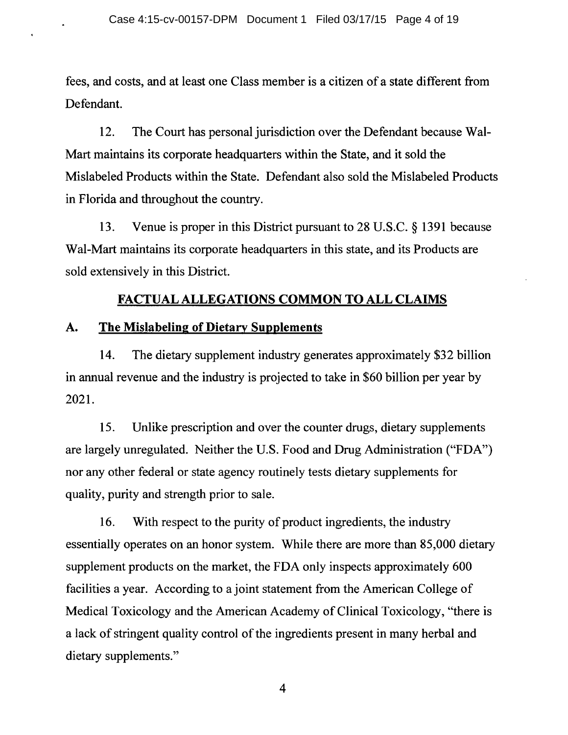fees, and costs, and at least one Class member is a citizen of a state different from Defendant.

12. The Court has personal jurisdiction over the Defendant because Wal-Mart maintains its corporate headquarters within the State, and it sold the Mislabeled Products within the State. Defendant also sold the Mislabeled Products in Florida and throughout the country.

13. Venue is proper in this District pursuant to 28 U.S.C. § 1391 because Wal-Mart maintains its corporate headquarters in this state, and its Products are sold extensively in this District.

# **FACTUAL ALLEGATIONS COMMON TO ALL CLAIMS**

## **A. The Mislabeling of Dietary Supplements**

14. The dietary supplement industry generates approximately \$32 billion in annual revenue and the industry is projected to take in \$60 billion per year by 2021.

15. Unlike prescription and over the counter drugs, dietary supplements are largely unregulated. Neither the U.S. Food and Drug Administration ("FDA") nor any other federal or state agency routinely tests dietary supplements for quality, purity and strength prior to sale.

16. With respect to the purity of product ingredients, the industry essentially operates on an honor system. While there are more than 85,000 dietary supplement products on the market, the FDA only inspects approximately 600 facilities a year. According to a joint statement from the American College of Medical Toxicology and the American Academy of Clinical Toxicology, "there is a lack of stringent quality control of the ingredients present in many herbal and dietary supplements."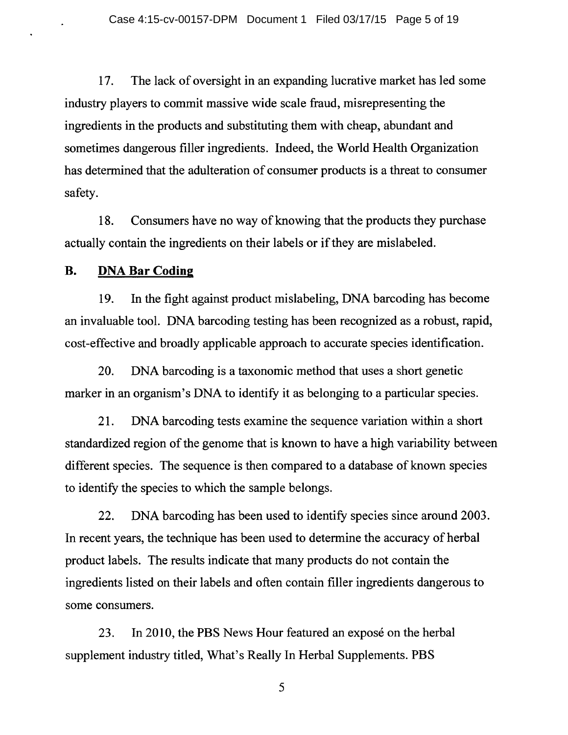17. The lack of oversight in an expanding lucrative market has led some industry players to commit massive wide scale fraud, misrepresenting the ingredients in the products and substituting them with cheap, abundant and sometimes dangerous filler ingredients. Indeed, the World Health Organization has determined that the adulteration of consumer products is a threat to consumer safety.

18. Consumers have no way of knowing that the products they purchase actually contain the ingredients on their labels or if they are mislabeled.

#### **B. DNA Bar Coding**

19. In the fight against product mislabeling, DNA barcoding has become an invaluable tool. DNA barcoding testing has been recognized as a robust, rapid, cost-effective and broadly applicable approach to accurate species identification.

20. DNA barcoding is a taxonomic method that uses a short genetic marker in an organism's DNA to identify it as belonging to a particular species.

21. DNA barcoding tests examine the sequence variation within a short standardized region of the genome that is known to have a high variability between different species. The sequence is then compared to a database of known species to identify the species to which the sample belongs.

22. DNA barcoding has been used to identify species since around 2003. In recent years, the technique has been used to determine the accuracy of herbal product labels. The results indicate that many products do not contain the ingredients listed on their labels and often contain filler ingredients dangerous to some consumers.

23. In 2010, the PBS News Hour featured an expose on the herbal supplement industry titled, What's Really In Herbal Supplements. PBS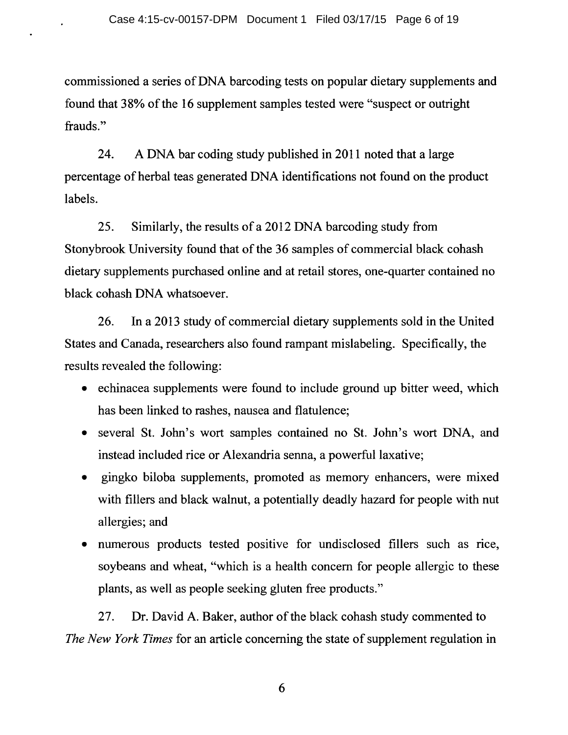commissioned a series of DNA barcoding tests on popular dietary supplements and found that 38% of the 16 supplement samples tested were "suspect or outright frauds."

24. A DNA bar coding study published in 2011 noted that a large percentage of herbal teas generated DNA identifications not found on the product labels.

25. Similarly, the results of a 2012 DNA barcoding study from Stonybrook University found that of the 36 samples of commercial black cohash dietary supplements purchased online and at retail stores, one-quarter contained no black cohash DNA whatsoever.

26. In a 2013 study of commercial dietary supplements sold in the United States and Canada, researchers also found rampant mislabeling. Specifically, the results revealed the following:

- echinacea supplements were found to include ground up bitter weed, which has been linked to rashes, nausea and flatulence;
- several St. John's wort samples contained no St. John's wort DNA, and instead included rice or Alexandria senna, a powerful laxative;
- gingko biloba supplements, promoted as memory enhancers, were mixed with fillers and black walnut, a potentially deadly hazard for people with nut allergies; and
- numerous products tested positive for undisclosed fillers such as rice, soybeans and wheat, "which is a health concern for people allergic to these plants, as well as people seeking gluten free products."

27. Dr. David A. Baker, author of the black cohash study commented to *The New York Times* for an article concerning the state of supplement regulation in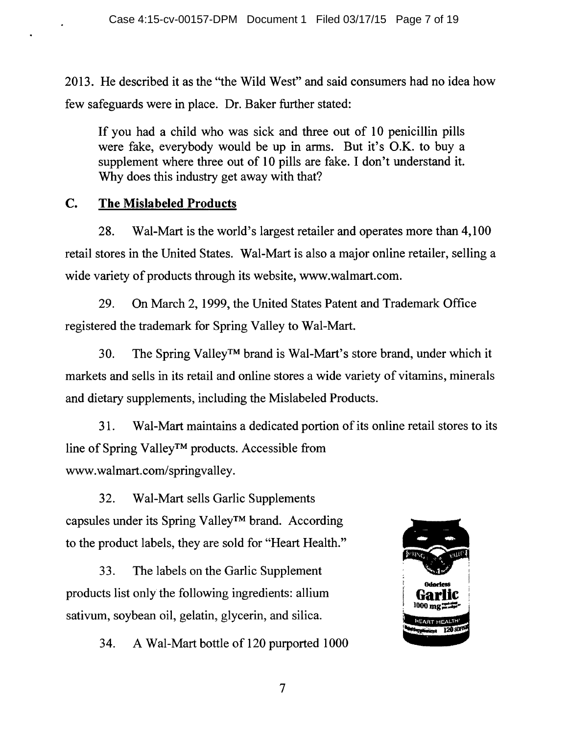2013. He described it as the "the Wild West" and said consumers had no idea how few safeguards were in place. Dr. Baker further stated:

If you had a child who was sick and three out of 10 penicillin pills were fake, everybody would be up in arms. But it's O.K. to buy a supplement where three out of 10 pills are fake. I don't understand it. Why does this industry get away with that?

# **C. The Mislabeled Products**

28. Wal-Mart is the world's largest retailer and operates more than 4,100 retail stores in the United States. Wal-Mart is also a major online retailer, selling a wide variety of products through its website, www.walmart.com.

29. On March 2, 1999, the United States Patent and Trademark Office registered the trademark for Spring Valley to Wal-Mart.

30. The Spring Valley™ brand is Wal-Mart's store brand, under which it markets and sells in its retail and online stores a wide variety of vitamins, minerals and dietary supplements, including the Mislabeled Products.

31. Wal-Mart maintains a dedicated portion of its online retail stores to its line of Spring Valley<sup>TM</sup> products. Accessible from www.walmart.com/springvalley.

32. Wal-Mart sells Garlic Supplements capsules under its Spring Valley™ brand. According to the product labels, they are sold for "Heart Health."

33. The labels on the Garlic Supplement products list only the following ingredients: allium sativum, soybean oil, gelatin, glycerin, and silica.

34. A Wal-Mart bottle of 120 purported 1000

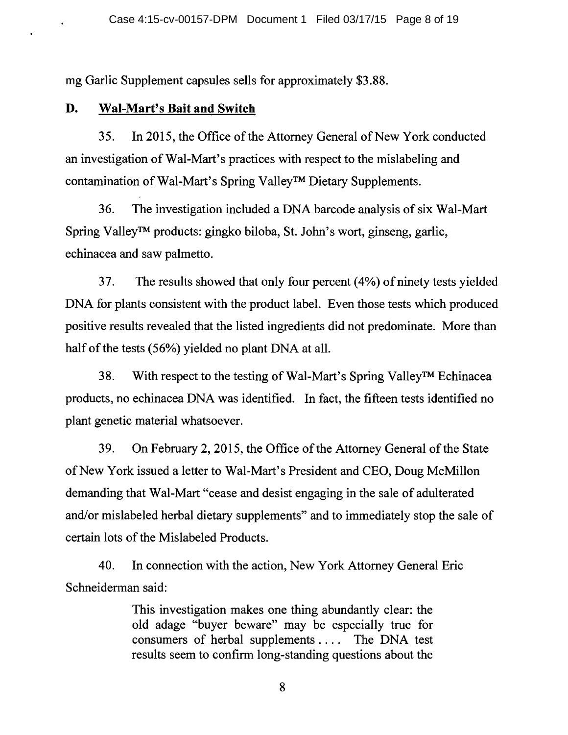mg Garlic Supplement capsules sells for approximately \$3 .88.

### **D. Wal-Mart's Bait and Switch**

35. In 2015, the Office of the Attorney General of New York conducted an investigation of Wal-Mart's practices with respect to the mislabeling and contamination of Wal-Mart's Spring Valley™ Dietary Supplements.

36. The investigation included a DNA barcode analysis of six Wal-Mart Spring Valley™ products: gingko biloba, St. John's wort, ginseng, garlic, echinacea and saw palmetto.

37. The results showed that only four percent (4%) of ninety tests yielded DNA for plants consistent with the product label. Even those tests which produced positive results revealed that the listed ingredients did not predominate. More than half of the tests (56%) yielded no plant DNA at all.

38. With respect to the testing of Wal-Mart's Spring Valley™ Echinacea products, no echinacea DNA was identified. In fact, the fifteen tests identified no plant genetic material whatsoever.

39. On February 2, 2015, the Office of the Attorney General of the State of New York issued a letter to Wal-Mart's President and CEO, Doug McMillon demanding that Wal-Mart "cease and desist engaging in the sale of adulterated and/or mislabeled herbal dietary supplements" and to immediately stop the sale of certain lots of the Mislabeled Products.

40. In connection with the action, New York Attorney General Eric Schneiderman said:

> This investigation makes one thing abundantly clear: the old adage "buyer beware" may be especially true for consumers of herbal supplements . . . . The DNA test results seem to confirm long-standing questions about the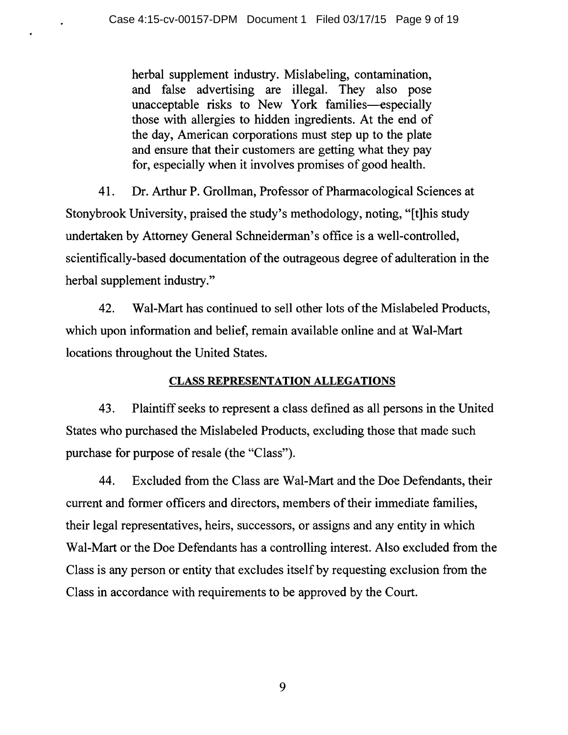herbal supplement industry. Mislabeling, contamination, and false advertising are illegal. They also pose unacceptable risks to New York families-especially those with allergies to hidden ingredients. At the end of the day, American corporations must step up to the plate and ensure that their customers are getting what they pay for, especially when it involves promises of good health.

41. Dr. Arthur P. Grollman, Professor of Pharmacological Sciences at Stonybrook University, praised the study's methodology, noting, "[t]his study undertaken by Attorney General Schneiderman's office is a well-controlled, scientifically-based documentation of the outrageous degree of adulteration in the herbal supplement industry."

42. Wal-Mart has continued to sell other lots of the Mislabeled Products, which upon information and belief, remain available online and at Wal-Mart locations throughout the United States.

## CLASS REPRESENTATION ALLEGATIONS

43. Plaintiff seeks to represent a class defined as all persons in the United States who purchased the Mislabeled Products, excluding those that made such purchase for purpose of resale (the "Class").

44. Excluded from the Class are Wal-Mart and the Doe Defendants, their current and former officers and directors, members of their immediate families, their legal representatives, heirs, successors, or assigns and any entity in which Wal-Mart or the Doe Defendants has a controlling interest. Also excluded from the Class is any person or entity that excludes itself by requesting exclusion from the Class in accordance with requirements to be approved by the Court.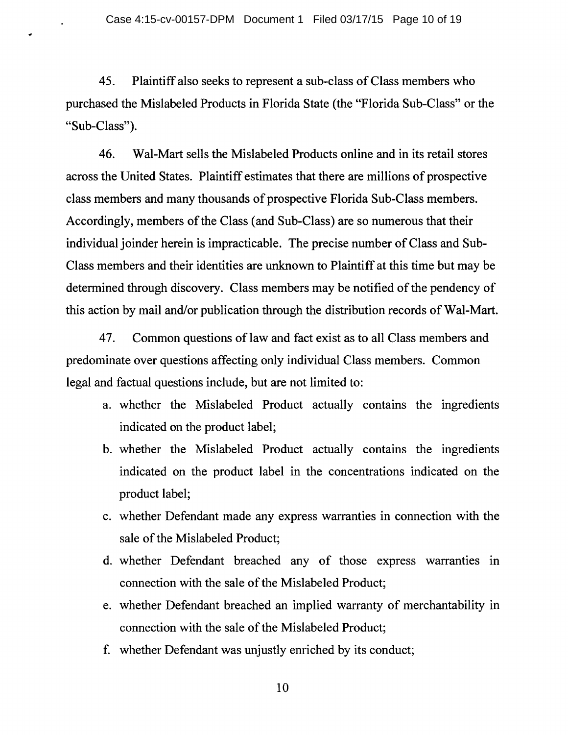..

45. Plaintiff also seeks to represent a sub-class of Class members who purchased the Mislabeled Products in Florida State (the "Florida Sub-Class" or the "Sub-Class").

46. Wal-Mart sells the Mislabeled Products online and in its retail stores across the United States. Plaintiff estimates that there are millions of prospective class members and many thousands of prospective Florida Sub-Class members. Accordingly, members of the Class (and Sub-Class) are so numerous that their individual joinder herein is impracticable. The precise number of Class and Sub-Class members and their identities are unknown to Plaintiff at this time but may be determined through discovery. Class members may be notified of the pendency of this action by mail and/or publication through the distribution records of Wal-Mart.

47. Common questions of law and fact exist as to all Class members and predominate over questions affecting only individual Class members. Common legal and factual questions include, but are not limited to:

- a. whether the Mislabeled Product actually contains the ingredients indicated on the product label;
- b. whether the Mislabeled Product actually contains the ingredients indicated on the product label in the concentrations indicated on the product label;
- c. whether Defendant made any express warranties in connection with the sale of the Mislabeled Product;
- d. whether Defendant breached any of those express warranties in connection with the sale of the Mislabeled Product;
- e. whether Defendant breached an implied warranty of merchantability in connection with the sale of the Mislabeled Product;
- f. whether Defendant was unjustly enriched by its conduct;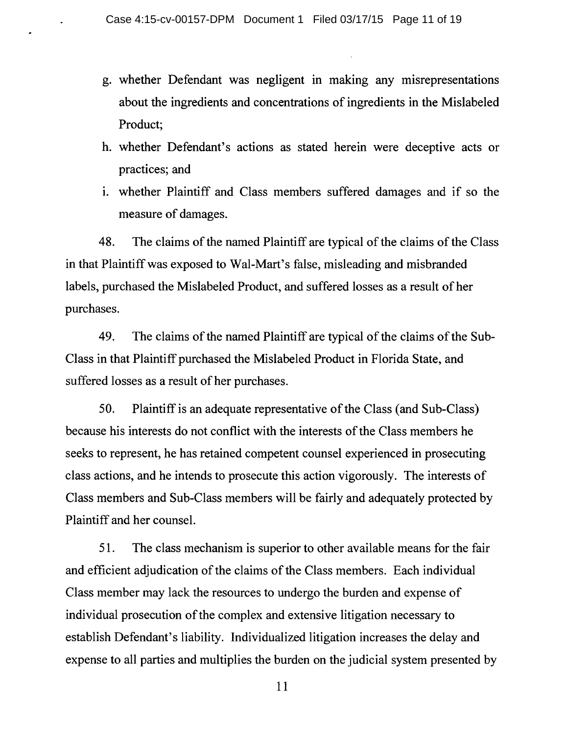- g. whether Defendant was negligent in making any misrepresentations about the ingredients and concentrations of ingredients in the Mislabeled Product;
- h. whether Defendant's actions as stated herein were deceptive acts or practices; and
- i. whether Plaintiff and Class members suffered damages and if so the measure of damages.

48. The claims of the named Plaintiff are typical of the claims of the Class in that Plaintiff was exposed to Wal-Mart's false, misleading and misbranded labels, purchased the Mislabeled Product, and suffered losses as a result of her purchases.

49. The claims of the named Plaintiff are typical of the claims of the Sub-Class in that Plaintiff purchased the Mislabeled Product in Florida State, and suffered losses as a result of her purchases.

50. Plaintiff is an adequate representative of the Class (and Sub-Class) because his interests do not conflict with the interests of the Class members he seeks to represent, he has retained competent counsel experienced in prosecuting class actions, and he intends to prosecute this action vigorously. The interests of Class members and Sub-Class members will be fairly and adequately protected by Plaintiff and her counsel.

51. The class mechanism is superior to other available means for the fair and efficient adjudication of the claims of the Class members. Each individual Class member may lack the resources to undergo the burden and expense of individual prosecution of the complex and extensive litigation necessary to establish Defendant's liability. Individualized litigation increases the delay and expense to all parties and multiplies the burden on the judicial system presented by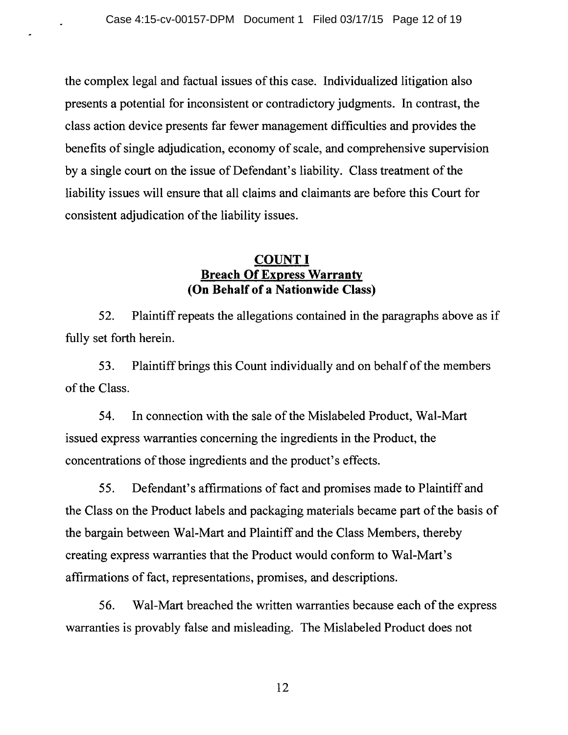the complex legal and factual issues of this case. Individualized litigation also presents a potential for inconsistent or contradictory judgments. In contrast, the class action device presents far fewer management difficulties and provides the benefits of single adjudication, economy of scale, and comprehensive supervision by a single court on the issue of Defendant's liability. Class treatment of the liability issues will ensure that all claims and claimants are before this Court for consistent adjudication of the liability issues.

## **COUNT I Breach Of Express Warranty (On Behalf of a Nationwide Class)**

52. Plaintiff repeats the allegations contained in the paragraphs above as if fully set forth herein.

53. Plaintiff brings this Count individually and on behalf of the members of the Class.

54. In connection with the sale of the Mislabeled Product, Wal-Mart issued express warranties concerning the ingredients in the Product, the concentrations of those ingredients and the product's effects.

5 5. Defendant's affirmations of fact and promises made to Plaintiff and the Class on the Product labels and packaging materials became part of the basis of the bargain between Wal-Mart and Plaintiff and the Class Members, thereby creating express warranties that the Product would conform to Wal-Mart's affirmations of fact, representations, promises, and descriptions.

56. Wal-Mart breached the written warranties because each of the express warranties is provably false and misleading. The Mislabeled Product does not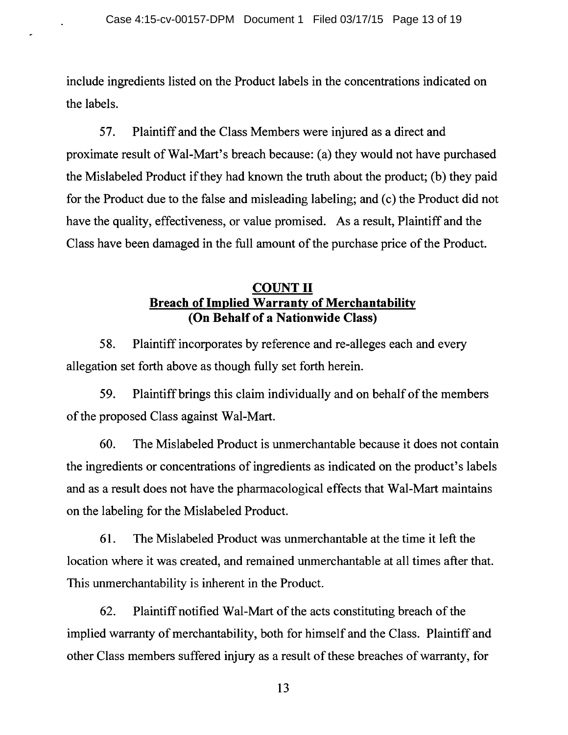include ingredients listed on the Product labels in the concentrations indicated on the labels.

57. Plaintiff and the Class Members were injured as a direct and proximate result of Wal-Mart's breach because: (a) they would not have purchased the Mislabeled Product if they had known the truth about the product; (b) they paid for the Product due to the false and misleading labeling; and (c) the Product did not have the quality, effectiveness, or value promised. As a result, Plaintiff and the Class have been damaged in the full amount of the purchase price of the Product.

## COUNT II Breach of Implied Warranty of Merchantability (On Behalf of a Nationwide Class)

58. Plaintiff incorporates by reference and re-alleges each and every allegation set forth above as though fully set forth herein.

59. Plaintiff brings this claim individually and on behalf of the members of the proposed Class against Wal-Mart.

60. The Mislabeled Product is unmerchantable because it does not contain the ingredients or concentrations of ingredients as indicated on the product's labels and as a result does not have the pharmacological effects that Wal-Mart maintains on the labeling for the Mislabeled Product.

61. The Mislabeled Product was unmerchantable at the time it left the location where it was created, and remained unmerchantable at all times after that. This unmerchantability is inherent in the Product.

62. Plaintiff notified Wal-Mart of the acts constituting breach of the implied warranty of merchantability, both for himself and the Class. Plaintiff and other Class members suffered injury as a result of these breaches of warranty, for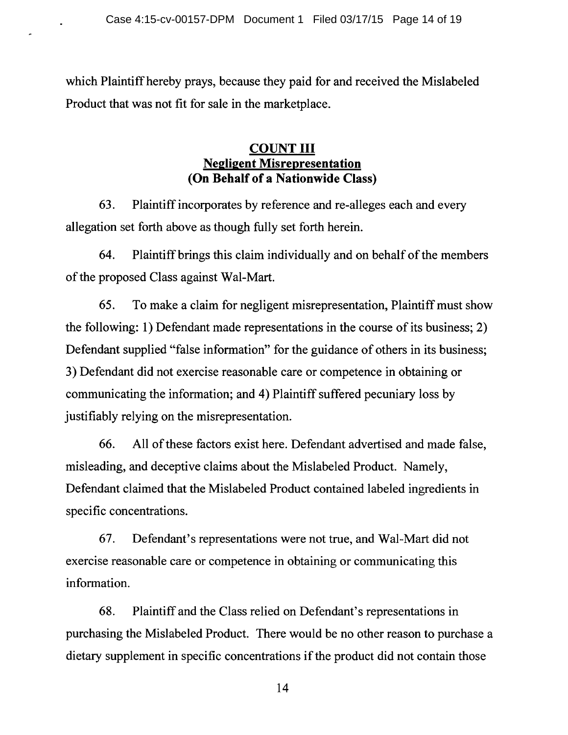which Plaintiff hereby prays, because they paid for and received the Mislabeled Product that was not fit for sale in the marketplace.

## **COUNT III Negligent Misrepresentation (On Behalf of a Nationwide Class)**

63. Plaintiff incorporates by reference and re-alleges each and every allegation set forth above as though fully set forth herein.

64. Plaintiff brings this claim individually and on behalf of the members of the proposed Class against Wal-Mart.

65. To make a claim for negligent misrepresentation, Plaintiff must show the following: 1) Defendant made representations in the course of its business; 2) Defendant supplied "false information" for the guidance of others in its business; 3) Defendant did not exercise reasonable care or competence in obtaining or communicating the information; and 4) Plaintiff suffered pecuniary loss by justifiably relying on the misrepresentation.

66. All of these factors exist here. Defendant advertised and made false, misleading, and deceptive claims about the Mislabeled Product. Namely, Defendant claimed that the Mislabeled Product contained labeled ingredients in specific concentrations.

67. Defendant's representations were not true, and Wal-Mart did not exercise reasonable care or competence in obtaining or communicating this information.

68. Plaintiff and the Class relied on Defendant's representations in purchasing the Mislabeled Product. There would be no other reason to purchase a dietary supplement in specific concentrations if the product did not contain those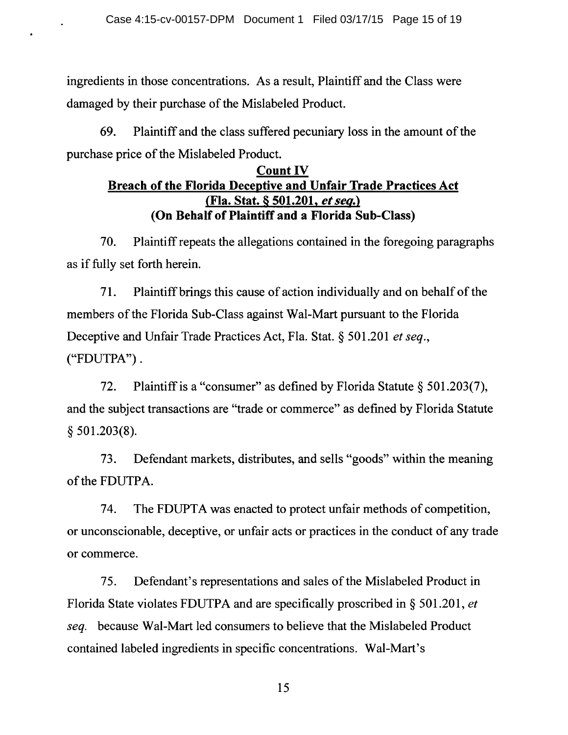ingredients in those concentrations. As a result, Plaintiff and the Class were damaged by their purchase of the Mislabeled Product.

69. Plaintiff and the class suffered pecuniary loss in the amount of the purchase price of the Mislabeled Product.

## **Count IV Breach of the Florida Deceptive and Unfair Trade Practices Act (Fla. Stat. § 501.201,** *et seq.)*  **(On Behalf of Plaintiff and a Florida Sub-Class)**

70. Plaintiff repeats the allegations contained in the foregoing paragraphs as if fully set forth herein.

71. Plaintiff brings this cause of action individually and on behalf of the members of the Florida Sub-Class against Wal-Mart pursuant to the Florida Deceptive and Unfair Trade Practices Act, Fla. Stat. § 501.201 *et seq.,*  ("FDUTPA") .

72. Plaintiff is a "consumer" as defined by Florida Statute § 501.203(7), and the subject transactions are "trade or commerce" as defined by Florida Statute § 501.203(8).

73. Defendant markets, distributes, and sells "goods" within the meaning of the FDUTPA.

74. The FDUPTA was enacted to protect unfair methods of competition, or unconscionable, deceptive, or unfair acts or practices in the conduct of any trade or commerce.

75. Defendant's representations and sales of the Mislabeled Product in Florida State violates FDUTPA and are specifically proscribed in § 501.201, *et seq.* because Wal-Mart led consumers to believe that the Mislabeled Product contained labeled ingredients in specific concentrations. Wal-Mart's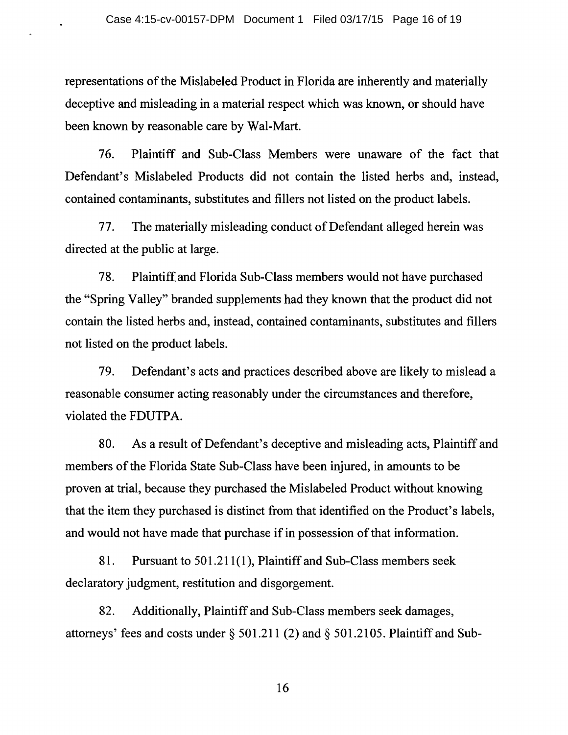representations of the Mislabeled Product in Florida are inherently and materially deceptive and misleading in a material respect which was known, or should have been known by reasonable care by Wal-Mart.

76. Plaintiff and Sub-Class Members were unaware of the fact that Defendant's Mislabeled Products did not contain the listed herbs and, instead, contained contaminants, substitutes and fillers not listed on the product labels.

77. The materially misleading conduct of Defendant alleged herein was directed at the public at large.

78. Plaintiff and Florida Sub-Class members would not have purchased the "Spring Valley" branded supplements had they known that the product did not contain the listed herbs and, instead, contained contaminants, substitutes and fillers not listed on the product labels.

79. Defendant's acts and practices described above are likely to mislead a reasonable consumer acting reasonably under the circumstances and therefore, violated the FDUTPA.

80. As a result of Defendant's deceptive and misleading acts, Plaintiff and members of the Florida State Sub-Class have been injured, in amounts to be proven at trial, because they purchased the Mislabeled Product without knowing that the item they purchased is distinct from that identified on the Product's labels, and would not have made that purchase if in possession of that information.

81. Pursuant to 501.211(1), Plaintiff and Sub-Class members seek declaratory judgment, restitution and disgorgement.

82. Additionally, Plaintiff and Sub-Class members seek damages, attorneys' fees and costs under§ 501.211 (2) and§ 501.2105. Plaintiff and Sub-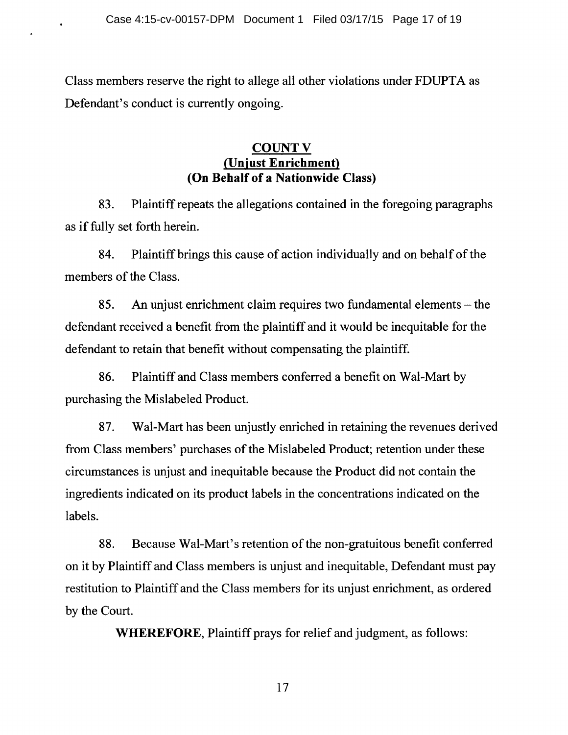Class members reserve the right to allege all other violations under FDUPTA as Defendant's conduct is currently ongoing.

### **COUNT V** (Unjust Enrichment) (On Behalf of a Nationwide Class)

83. Plaintiff repeats the allegations contained in the foregoing paragraphs as if fully set forth herein.

84. Plaintiff brings this cause of action individually and on behalf of the members of the Class.

85. An unjust enrichment claim requires two fundamental elements - the defendant received a benefit from the plaintiff and it would be inequitable for the defendant to retain that benefit without compensating the plaintiff.

86. Plaintiff and Class members conferred a benefit on Wal-Mart by purchasing the Mislabeled Product.

87. Wal-Mart has been unjustly enriched in retaining the revenues derived from Class members' purchases of the Mislabeled Product; retention under these circumstances is unjust and inequitable because the Product did not contain the ingredients indicated on its product labels in the concentrations indicated on the labels.

88. Because Wal-Mart's retention of the non-gratuitous benefit conferred on it by Plaintiff and Class members is unjust and inequitable, Defendant must pay restitution to Plaintiff and the Class members for its unjust enrichment, as ordered by the Court.

WHEREFORE, Plaintiff prays for relief and judgment, as follows: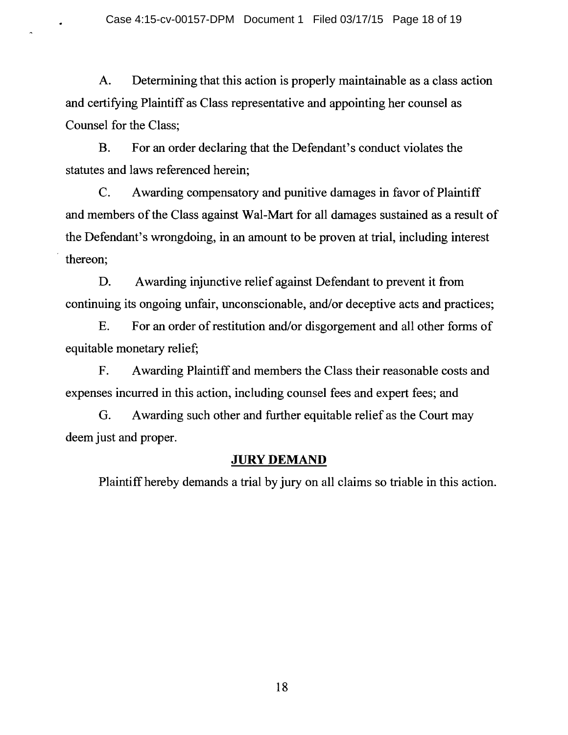A. Determining that this action is properly maintainable as a class action and certifying Plaintiff as Class representative and appointing her counsel as Counsel for the Class;

B. For an order declaring that the Defendant's conduct violates the statutes and laws referenced herein;

C. Awarding compensatory and punitive damages in favor of Plaintiff and members of the Class against Wal-Mart for all damages sustained as a result of the Defendant's wrongdoing, in an amount to be proven at trial, including interest thereon;

D. Awarding injunctive relief against Defendant to prevent it from continuing its ongoing unfair, unconscionable, and/or deceptive acts and practices;

E. For an order of restitution and/or disgorgement and all other forms of equitable monetary relief;

F. A warding Plaintiff and members the Class their reasonable costs and expenses incurred in this action, including counsel fees and expert fees; and

G. Awarding such other and further equitable relief as the Court may deem just and proper.

#### **JURY DEMAND**

Plaintiff hereby demands a trial by jury on all claims so triable in this action.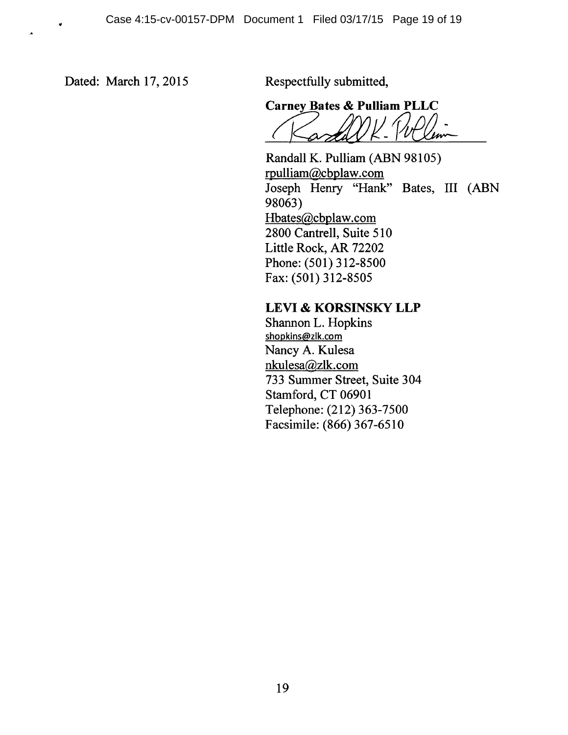Dated: March 17, 2015 Respectfully submitted,

..

 $\lambda$ 

**Carney Bates & Pulliam PLLC**  Sarney Bates & Pulliam PLLC<br>(Cardell K William

Randall K. Pulliam (ABN 98105) rpulliam@cbplaw.com Joseph Henry "Hank" Bates, III (ABN 98063) Hbates@cbplaw.com 2800 Cantrell, Suite 510 Little Rock, AR 72202 Phone: (501) 312-8500 Fax: (501) 312-8505

## **LEVI & KORSINSKY LLP**

Shannon L. Hopkins shopkins@zlk.com Nancy A. Kulesa nkulesa@zlk.com 733 Summer Street, Suite 304 Stamford, CT 06901 Telephone: (212) 363-7500 Facsimile: (866) 367-6510